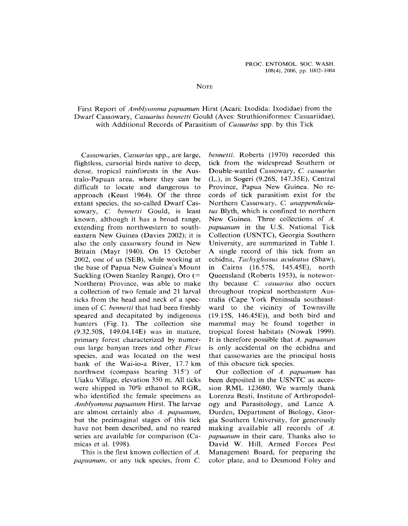## **NOTE**

## First Report of Amblyomma papuanum Hirst (Acari: Ixodida: Ixodidae) from the Dwarf Cassowary, Casuarius bennetti Gould (Aves: Struthioniformes: Casuariidae), with Additional Records of Parasitism of *Casuarius* spp. by this Tick

Cassowaries, Casuarius spp., are large, bennetti. Roberts (1970) recorded this flightless, cursorial birds native to deep, tick from the widespread Southern or dense, tropical rainforests in the Aus- Double-wattled Cassowary, C. casuarius tralo-Papuan area, where they can be (L.), in Sogeri (9.26S, 147.35E), Central difficult to locate and dangerous to Province, Papua New Guinea. No reapproach (Keast 1964). Of the three cords of tick parasitism exist for the extant species, the so-called Dwarf Cas- Northern Cassowary, C. unappendiculasowary, C. bennetti Gould, is least tus Blyth, which is confined to northern known, although it has <sup>a</sup> broad range, New Guinea. Three collections of A. extending from northwestern to south- papuanum in the U.S. National Tick eastern New Guinea (Davies 2002); it is Collection (USNTC), Georgia Southern eastern inew Guinea (Davies 2002), it is Conection (OSNTC), Georgia Southern<br>also the only cassowary found in New Hniversity, are summarized in Table 1. also the only cassowary found in New University, are summarized in Table I.<br>Britain (Mayr 1940). On 15 October A single record of this tick from an Britain (Mayr 1940). On 15 October A single record of this tick from an 2002, one of us (SEB), while working at echidna, *Tachyglossus aculeatus* (Shaw), the base of Papua New Guinea's Mount in Cairns (16.57S, 145.45E), north Suckling (Owen Stanley Range), Oro (= Queensland (Roberts 1953), is notewor-Northern) Province, was able to make thy because  $C$ . *casuarius* also occurs a collection of two female and <sup>21</sup> larval throughout tropical northeastern Austicks from the head and neck of <sup>a</sup> spec- tralia (Cape York Peninsula southeastimen of C. bennetti that had been freshly ward to the vicinity of Townsville speared and decapitated by indigenous (19.15S, 146.45E)), and both bird and hunters (Fig. 1). The collection site mammal may be found together in (9.32.50S, 149.04.14E) was in mature, tropical forest habitats (Nowak 1999). primary forest characterized by numer- It is therefore possible that A. papuanum ous large banyan trees and other Ficus is only accidental on the echidna and species, and was located on the west that cassowaries are the pr<br>bank of the Wai-io-a River, 17.7 km of this obscure tick species. northwest (compass bearing  $315^{\circ}$ ) of Our collection of A. papuanum has northwest (compass bearing  $315^\circ$ ) of the Collection of A. *papuanum* has<br>Higher Village, elevation 350 m. All ticks been deposited in the USNTC as acces-Ulaku Village, elevation 350 m. All ticks been deposited in the USNTC as acces-<br>were shipped in 70% ethanol to RGR, sion RML 123680. We warmly thank were shipped in 70% ethanol to RGR, sion RML 123680. We warmly thank who identified the female specimens as Lorenza Beati, Institute of Arthropodol-Amblyomma papuanum Hirst. The larvae ogy and Parasitology, and Lance A. are almost certainly also A. papuanum, Durden, Department of Biology, Georbut the preimaginal stages of this tick gia Southern University, for generously have not been described, and no reared making available all records of A. nave not been described, and no rearch making available and records of A.<br>series are available for comparison (Ca- papuanum in their care. Thanks also to series are available for comparison ( $Ca^2$  *papuanum* in their care. Thanks also to

papuanum, or any tick species, from C. color plate, and to Desmond Foley and

 $(L<sub>1</sub>)$ , in Sogeri (9.26S, 147.35E), Central that cassowaries are the principal hosts

micas et al. 1998). David W. Hill, Armed Forces Pest<br>This is the first known collection of A. Management Board, for preparing the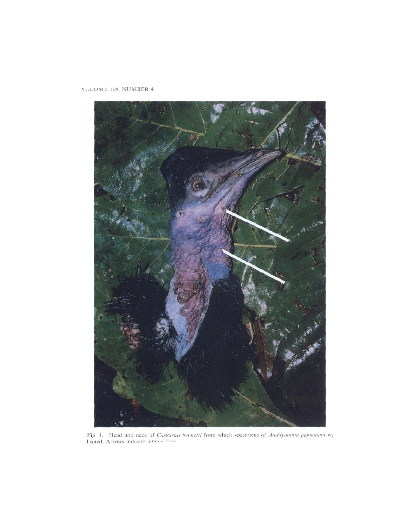# VOLUME 108, NUMBER 4



Fig. 1. Head and neck of Casuarius bennetti from which specimens of Amblyomma papuanum we llected. Arrows indicate formale tisks